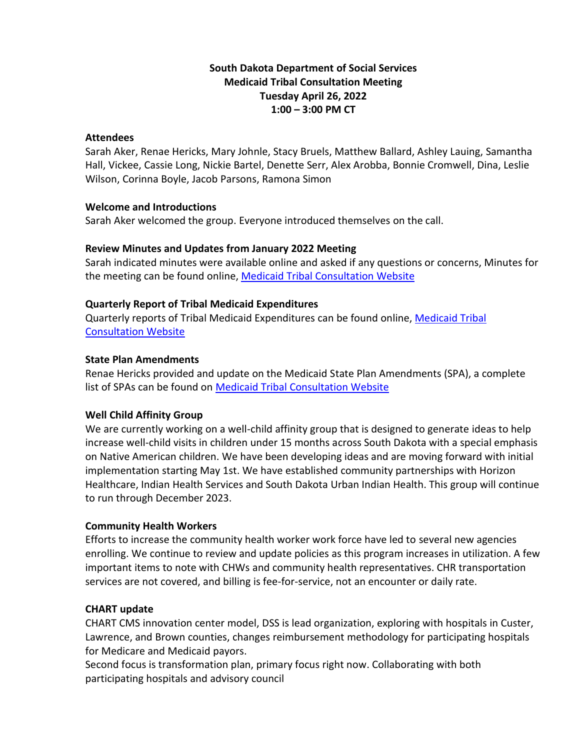# **South Dakota Department of Social Services Medicaid Tribal Consultation Meeting Tuesday April 26, 2022 1:00 – 3:00 PM CT**

#### **Attendees**

Sarah Aker, Renae Hericks, Mary Johnle, Stacy Bruels, Matthew Ballard, Ashley Lauing, Samantha Hall, Vickee, Cassie Long, Nickie Bartel, Denette Serr, Alex Arobba, Bonnie Cromwell, Dina, Leslie Wilson, Corinna Boyle, Jacob Parsons, Ramona Simon

#### **Welcome and Introductions**

Sarah Aker welcomed the group. Everyone introduced themselves on the call.

## **Review Minutes and Updates from January 2022 Meeting**

Sarah indicated minutes were available online and asked if any questions or concerns, Minutes for the meeting can be found online, [Medicaid Tribal Consultation](http://dss.sd.gov/medicaid/generalinfo/tribalconsultation.aspx) Website

## **Quarterly Report of Tribal Medicaid Expenditures**

Quarterly reports of Tribal Medicaid Expenditures can be found online, [Medicaid Tribal](http://dss.sd.gov/medicaid/generalinfo/tribalconsultation.aspx)  [Consultation Website](http://dss.sd.gov/medicaid/generalinfo/tribalconsultation.aspx)

#### **State Plan Amendments**

Renae Hericks provided and update on the Medicaid State Plan Amendments (SPA), a complete list of SPAs can be found on [Medicaid Tribal Consultation Website](http://dss.sd.gov/medicaid/generalinfo/tribalconsultation.aspx)

## **Well Child Affinity Group**

We are currently working on a well-child affinity group that is designed to generate ideas to help increase well-child visits in children under 15 months across South Dakota with a special emphasis on Native American children. We have been developing ideas and are moving forward with initial implementation starting May 1st. We have established community partnerships with Horizon Healthcare, Indian Health Services and South Dakota Urban Indian Health. This group will continue to run through December 2023.

#### **Community Health Workers**

Efforts to increase the community health worker work force have led to several new agencies enrolling. We continue to review and update policies as this program increases in utilization. A few important items to note with CHWs and community health representatives. CHR transportation services are not covered, and billing is fee-for-service, not an encounter or daily rate.

## **CHART update**

CHART CMS innovation center model, DSS is lead organization, exploring with hospitals in Custer, Lawrence, and Brown counties, changes reimbursement methodology for participating hospitals for Medicare and Medicaid payors.

Second focus is transformation plan, primary focus right now. Collaborating with both participating hospitals and advisory council